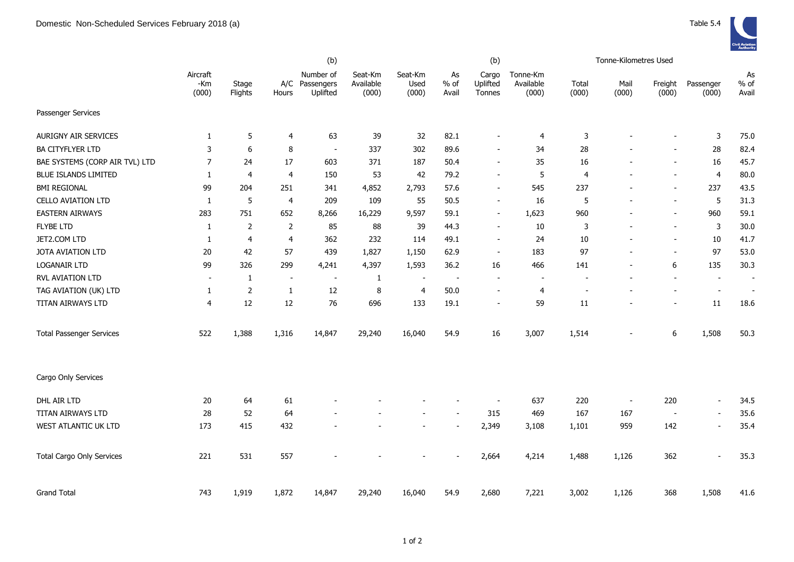|                                  | (b)                      |                  |                          |                                         |                               |                          |                       | (b)                         |                                |                | Tonne-Kilometres Used    |                          |                          |                       |
|----------------------------------|--------------------------|------------------|--------------------------|-----------------------------------------|-------------------------------|--------------------------|-----------------------|-----------------------------|--------------------------------|----------------|--------------------------|--------------------------|--------------------------|-----------------------|
|                                  | Aircraft<br>-Km<br>(000) | Stage<br>Flights | Hours                    | Number of<br>A/C Passengers<br>Uplifted | Seat-Km<br>Available<br>(000) | Seat-Km<br>Used<br>(000) | As<br>$%$ of<br>Avail | Cargo<br>Uplifted<br>Tonnes | Tonne-Km<br>Available<br>(000) | Total<br>(000) | Mail<br>(000)            | Freight<br>(000)         | Passenger<br>(000)       | As<br>$%$ of<br>Avail |
| Passenger Services               |                          |                  |                          |                                         |                               |                          |                       |                             |                                |                |                          |                          |                          |                       |
| <b>AURIGNY AIR SERVICES</b>      | $\mathbf{1}$             | 5                | 4                        | 63                                      | 39                            | 32                       | 82.1                  | $\overline{\phantom{a}}$    | 4                              | 3              |                          | $\overline{\phantom{0}}$ | 3                        | 75.0                  |
| <b>BA CITYFLYER LTD</b>          | 3                        | $\boldsymbol{6}$ | 8                        | $\overline{\phantom{a}}$                | 337                           | 302                      | 89.6                  | $\overline{\phantom{a}}$    | 34                             | 28             |                          | ÷,                       | 28                       | 82.4                  |
| BAE SYSTEMS (CORP AIR TVL) LTD   | $\overline{7}$           | 24               | 17                       | 603                                     | 371                           | 187                      | 50.4                  | $\overline{\phantom{a}}$    | 35                             | 16             |                          | $\overline{a}$           | 16                       | 45.7                  |
| <b>BLUE ISLANDS LIMITED</b>      | $\mathbf{1}$             | $\overline{4}$   | 4                        | 150                                     | 53                            | 42                       | 79.2                  | $\overline{\phantom{a}}$    | 5                              | 4              | $\overline{a}$           | $\overline{a}$           | $\overline{4}$           | 80.0                  |
| <b>BMI REGIONAL</b>              | 99                       | 204              | 251                      | 341                                     | 4,852                         | 2,793                    | 57.6                  | $\overline{\phantom{a}}$    | 545                            | 237            |                          | $\overline{\phantom{0}}$ | 237                      | 43.5                  |
| <b>CELLO AVIATION LTD</b>        | 1                        | 5                | $\overline{\mathbf{4}}$  | 209                                     | 109                           | 55                       | 50.5                  | $\overline{\phantom{a}}$    | 16                             | 5              | $\blacksquare$           | $\overline{\phantom{0}}$ | 5                        | 31.3                  |
| <b>EASTERN AIRWAYS</b>           | 283                      | 751              | 652                      | 8,266                                   | 16,229                        | 9,597                    | 59.1                  | $\overline{\phantom{a}}$    | 1,623                          | 960            |                          | $\overline{\phantom{a}}$ | 960                      | 59.1                  |
| <b>FLYBE LTD</b>                 | $\mathbf{1}$             | $\overline{2}$   | $\overline{2}$           | 85                                      | 88                            | 39                       | 44.3                  | $\overline{\phantom{a}}$    | 10                             | 3              |                          | $\blacksquare$           | $\mathsf 3$              | 30.0                  |
| JET2.COM LTD                     | 1                        | $\overline{4}$   | 4                        | 362                                     | 232                           | 114                      | 49.1                  | $\overline{\phantom{a}}$    | 24                             | 10             |                          | ÷,                       | 10                       | 41.7                  |
| <b>JOTA AVIATION LTD</b>         | 20                       | 42               | 57                       | 439                                     | 1,827                         | 1,150                    | 62.9                  | $\overline{\phantom{a}}$    | 183                            | 97             | $\overline{\phantom{a}}$ | $\blacksquare$           | 97                       | 53.0                  |
| <b>LOGANAIR LTD</b>              | 99                       | 326              | 299                      | 4,241                                   | 4,397                         | 1,593                    | 36.2                  | 16                          | 466                            | 141            | $\overline{a}$           | 6                        | 135                      | 30.3                  |
| RVL AVIATION LTD                 | $\overline{\phantom{a}}$ | 1                | $\overline{\phantom{a}}$ | $\blacksquare$                          | $\mathbf{1}$                  | $\overline{\phantom{a}}$ | $\blacksquare$        |                             |                                |                |                          | $\blacksquare$           | $\overline{\phantom{a}}$ | $\blacksquare$        |
| TAG AVIATION (UK) LTD            | 1                        | $\overline{2}$   | 1                        | 12                                      | $\bf 8$                       | 4                        | 50.0                  | $\overline{\phantom{a}}$    | 4                              |                |                          | $\overline{a}$           | $\overline{\phantom{a}}$ | $\blacksquare$        |
| TITAN AIRWAYS LTD                | 4                        | 12               | 12                       | 76                                      | 696                           | 133                      | 19.1                  | $\overline{\phantom{a}}$    | 59                             | 11             |                          | $\overline{a}$           | 11                       | 18.6                  |
| <b>Total Passenger Services</b>  | 522                      | 1,388            | 1,316                    | 14,847                                  | 29,240                        | 16,040                   | 54.9                  | 16                          | 3,007                          | 1,514          |                          | 6                        | 1,508                    | 50.3                  |
| Cargo Only Services              |                          |                  |                          |                                         |                               |                          |                       |                             |                                |                |                          |                          |                          |                       |
| DHL AIR LTD                      | 20                       | 64               | 61                       |                                         |                               |                          |                       |                             | 637                            | 220            | $\overline{\phantom{a}}$ | 220                      | $\overline{\phantom{a}}$ | 34.5                  |
| TITAN AIRWAYS LTD                | 28                       | 52               | 64                       |                                         |                               |                          |                       | 315                         | 469                            | 167            | 167                      | $\overline{\phantom{a}}$ | $\overline{\phantom{a}}$ | 35.6                  |
| WEST ATLANTIC UK LTD             | 173                      | 415              | 432                      |                                         |                               |                          |                       | 2,349                       | 3,108                          | 1,101          | 959                      | 142                      | $\blacksquare$           | 35.4                  |
| <b>Total Cargo Only Services</b> | 221                      | 531              | 557                      |                                         |                               |                          |                       | 2,664                       | 4,214                          | 1,488          | 1,126                    | 362                      | $\blacksquare$           | 35.3                  |
| <b>Grand Total</b>               | 743                      | 1,919            | 1,872                    | 14,847                                  | 29,240                        | 16,040                   | 54.9                  | 2,680                       | 7,221                          | 3,002          | 1,126                    | 368                      | 1,508                    | 41.6                  |